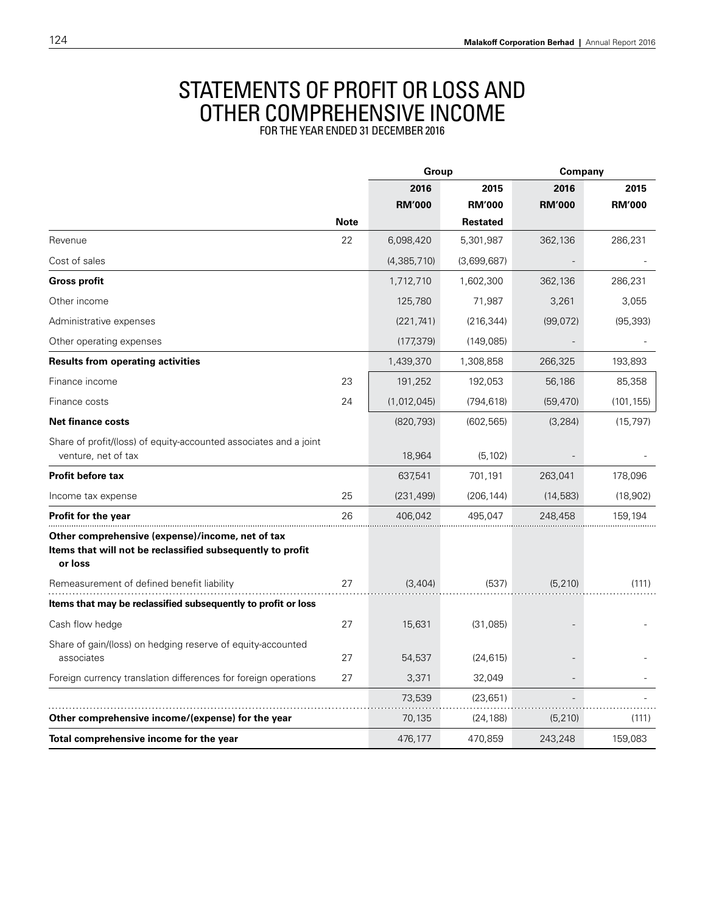## STATEMENTS OF PROFIT OR LOSS AND other comprehensive income for the year ended 31 December 2016

|                                                                                                                           |             | Group         |                 | Company       |               |
|---------------------------------------------------------------------------------------------------------------------------|-------------|---------------|-----------------|---------------|---------------|
|                                                                                                                           |             | 2016          | 2015            | 2016          | 2015          |
|                                                                                                                           |             | <b>RM'000</b> | <b>RM'000</b>   | <b>RM'000</b> | <b>RM'000</b> |
|                                                                                                                           | <b>Note</b> |               | <b>Restated</b> |               |               |
| Revenue                                                                                                                   | 22          | 6,098,420     | 5,301,987       | 362,136       | 286,231       |
| Cost of sales                                                                                                             |             | (4,385,710)   | (3,699,687)     |               |               |
| <b>Gross profit</b>                                                                                                       |             | 1,712,710     | 1,602,300       | 362,136       | 286,231       |
| Other income                                                                                                              |             | 125,780       | 71,987          | 3,261         | 3,055         |
| Administrative expenses                                                                                                   |             | (221, 741)    | (216, 344)      | (99,072)      | (95, 393)     |
| Other operating expenses                                                                                                  |             | (177, 379)    | (149,085)       |               |               |
| <b>Results from operating activities</b>                                                                                  |             | 1,439,370     | 1,308,858       | 266,325       | 193,893       |
| Finance income                                                                                                            | 23          | 191,252       | 192,053         | 56,186        | 85,358        |
| Finance costs                                                                                                             | 24          | (1,012,045)   | (794, 618)      | (59, 470)     | (101, 155)    |
| <b>Net finance costs</b>                                                                                                  |             | (820, 793)    | (602, 565)      | (3, 284)      | (15, 797)     |
| Share of profit/(loss) of equity-accounted associates and a joint<br>venture, net of tax                                  |             | 18,964        | (5, 102)        |               |               |
| <b>Profit before tax</b>                                                                                                  |             | 637,541       | 701,191         | 263,041       | 178,096       |
| Income tax expense                                                                                                        | 25          | (231, 499)    | (206, 144)      | (14, 583)     | (18,902)      |
| <b>Profit for the year</b>                                                                                                | 26          | 406.042       | 495.047         | 248,458       | 159,194       |
| Other comprehensive (expense)/income, net of tax<br>Items that will not be reclassified subsequently to profit<br>or loss |             |               |                 |               |               |
| Remeasurement of defined benefit liability                                                                                | 27          | (3,404)       | (537)           | (5, 210)      | (111)         |
| Items that may be reclassified subsequently to profit or loss                                                             |             |               |                 |               |               |
| Cash flow hedge                                                                                                           | 27          | 15,631        | (31,085)        |               |               |
| Share of gain/(loss) on hedging reserve of equity-accounted<br>associates                                                 | 27          | 54,537        | (24, 615)       |               |               |
| Foreign currency translation differences for foreign operations                                                           | 27          | 3,371         | 32,049          |               |               |
|                                                                                                                           |             | 73,539        | (23, 651)       |               |               |
| Other comprehensive income/(expense) for the year                                                                         |             | 70,135        | (24, 188)       | (5, 210)      | (111)         |
| Total comprehensive income for the year                                                                                   |             | 476,177       | 470,859         | 243,248       | 159,083       |